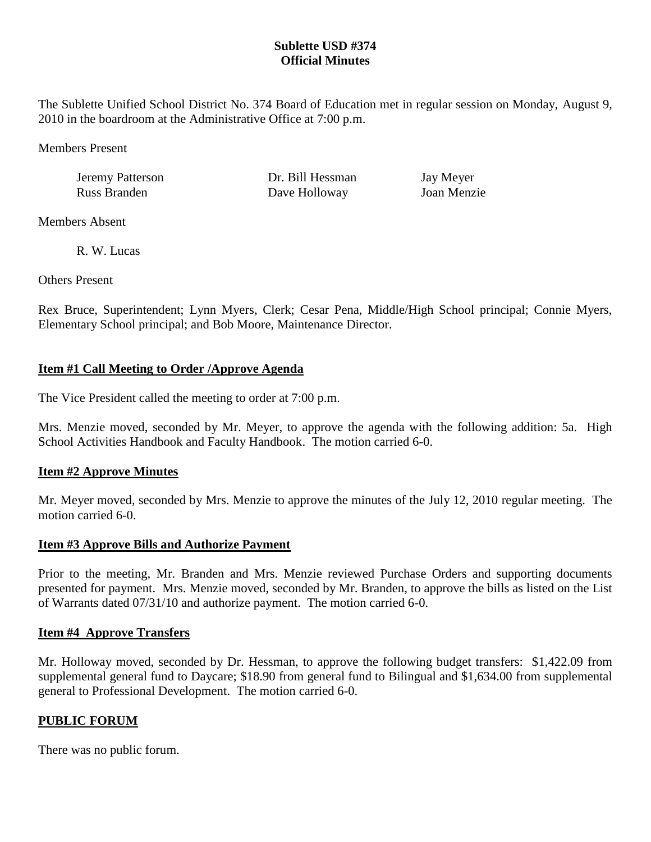## **Sublette USD #374 Official Minutes**

The Sublette Unified School District No. 374 Board of Education met in regular session on Monday, August 9, 2010 in the boardroom at the Administrative Office at 7:00 p.m.

Members Present

| Jeremy Patterson |  |
|------------------|--|
| Russ Branden     |  |

Dr. Bill Hessman Jay Meyer Dave Holloway Joan Menzie

Members Absent

R. W. Lucas

Others Present

Rex Bruce, Superintendent; Lynn Myers, Clerk; Cesar Pena, Middle/High School principal; Connie Myers, Elementary School principal; and Bob Moore, Maintenance Director.

# **Item #1 Call Meeting to Order /Approve Agenda**

The Vice President called the meeting to order at 7:00 p.m.

Mrs. Menzie moved, seconded by Mr. Meyer, to approve the agenda with the following addition: 5a. High School Activities Handbook and Faculty Handbook. The motion carried 6-0.

## **Item #2 Approve Minutes**

Mr. Meyer moved, seconded by Mrs. Menzie to approve the minutes of the July 12, 2010 regular meeting. The motion carried 6-0.

## **Item #3 Approve Bills and Authorize Payment**

Prior to the meeting, Mr. Branden and Mrs. Menzie reviewed Purchase Orders and supporting documents presented for payment. Mrs. Menzie moved, seconded by Mr. Branden, to approve the bills as listed on the List of Warrants dated 07/31/10 and authorize payment. The motion carried 6-0.

## **Item #4 Approve Transfers**

Mr. Holloway moved, seconded by Dr. Hessman, to approve the following budget transfers: \$1,422.09 from supplemental general fund to Daycare; \$18.90 from general fund to Bilingual and \$1,634.00 from supplemental general to Professional Development. The motion carried 6-0.

## **PUBLIC FORUM**

There was no public forum.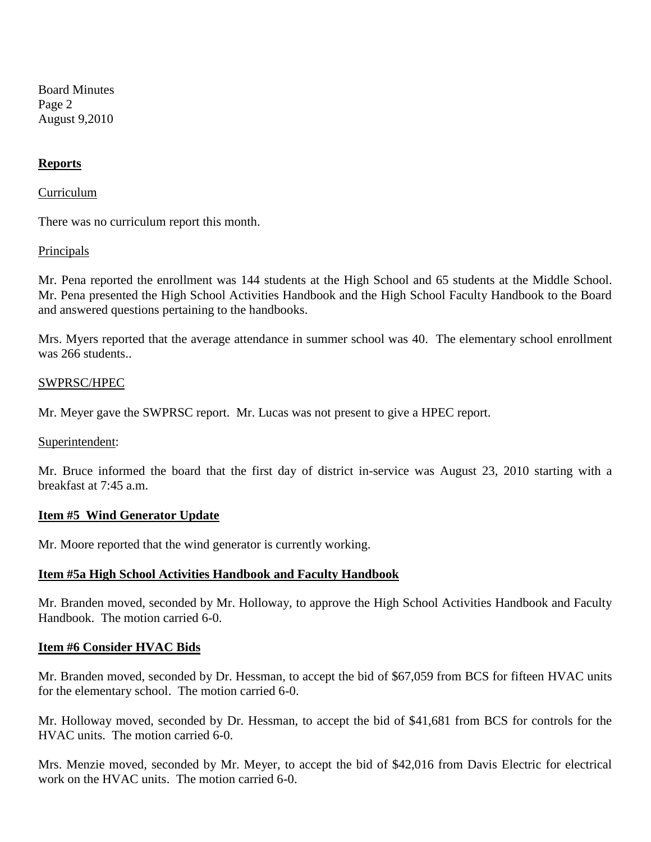Board Minutes Page 2 August 9,2010

### **Reports**

#### Curriculum

There was no curriculum report this month.

#### **Principals**

Mr. Pena reported the enrollment was 144 students at the High School and 65 students at the Middle School. Mr. Pena presented the High School Activities Handbook and the High School Faculty Handbook to the Board and answered questions pertaining to the handbooks.

Mrs. Myers reported that the average attendance in summer school was 40. The elementary school enrollment was 266 students..

#### SWPRSC/HPEC

Mr. Meyer gave the SWPRSC report. Mr. Lucas was not present to give a HPEC report.

#### Superintendent:

Mr. Bruce informed the board that the first day of district in-service was August 23, 2010 starting with a breakfast at 7:45 a.m.

#### **Item #5 Wind Generator Update**

Mr. Moore reported that the wind generator is currently working.

### **Item #5a High School Activities Handbook and Faculty Handbook**

Mr. Branden moved, seconded by Mr. Holloway, to approve the High School Activities Handbook and Faculty Handbook. The motion carried 6-0.

#### **Item #6 Consider HVAC Bids**

Mr. Branden moved, seconded by Dr. Hessman, to accept the bid of \$67,059 from BCS for fifteen HVAC units for the elementary school. The motion carried 6-0.

Mr. Holloway moved, seconded by Dr. Hessman, to accept the bid of \$41,681 from BCS for controls for the HVAC units. The motion carried 6-0.

Mrs. Menzie moved, seconded by Mr. Meyer, to accept the bid of \$42,016 from Davis Electric for electrical work on the HVAC units. The motion carried 6-0.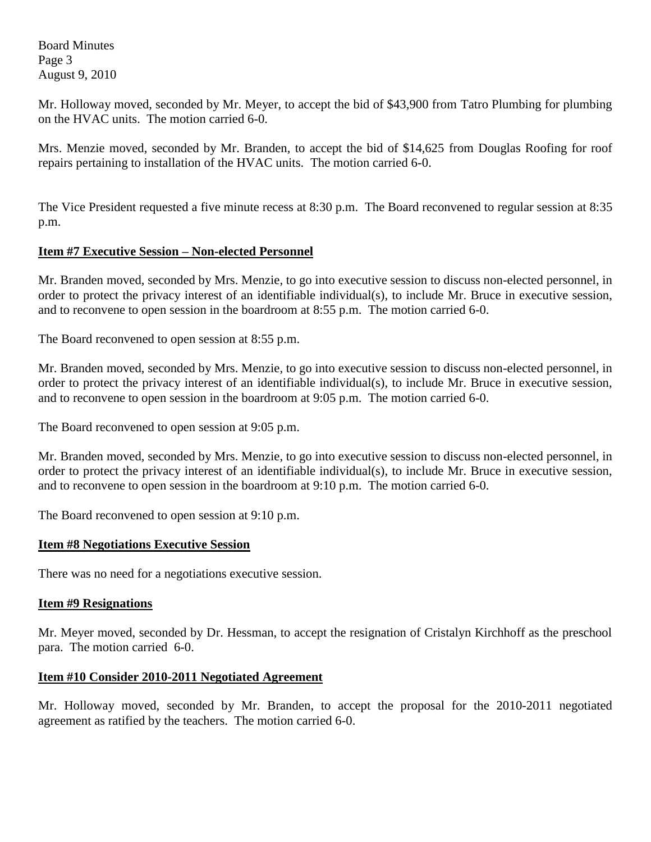Board Minutes Page 3 August 9, 2010

Mr. Holloway moved, seconded by Mr. Meyer, to accept the bid of \$43,900 from Tatro Plumbing for plumbing on the HVAC units. The motion carried 6-0.

Mrs. Menzie moved, seconded by Mr. Branden, to accept the bid of \$14,625 from Douglas Roofing for roof repairs pertaining to installation of the HVAC units. The motion carried 6-0.

The Vice President requested a five minute recess at 8:30 p.m. The Board reconvened to regular session at 8:35 p.m.

## **Item #7 Executive Session – Non-elected Personnel**

Mr. Branden moved, seconded by Mrs. Menzie, to go into executive session to discuss non-elected personnel, in order to protect the privacy interest of an identifiable individual(s), to include Mr. Bruce in executive session, and to reconvene to open session in the boardroom at 8:55 p.m. The motion carried 6-0.

The Board reconvened to open session at 8:55 p.m.

Mr. Branden moved, seconded by Mrs. Menzie, to go into executive session to discuss non-elected personnel, in order to protect the privacy interest of an identifiable individual(s), to include Mr. Bruce in executive session, and to reconvene to open session in the boardroom at 9:05 p.m. The motion carried 6-0.

The Board reconvened to open session at 9:05 p.m.

Mr. Branden moved, seconded by Mrs. Menzie, to go into executive session to discuss non-elected personnel, in order to protect the privacy interest of an identifiable individual(s), to include Mr. Bruce in executive session, and to reconvene to open session in the boardroom at 9:10 p.m. The motion carried 6-0.

The Board reconvened to open session at 9:10 p.m.

### **Item #8 Negotiations Executive Session**

There was no need for a negotiations executive session.

### **Item #9 Resignations**

Mr. Meyer moved, seconded by Dr. Hessman, to accept the resignation of Cristalyn Kirchhoff as the preschool para. The motion carried 6-0.

### **Item #10 Consider 2010-2011 Negotiated Agreement**

Mr. Holloway moved, seconded by Mr. Branden, to accept the proposal for the 2010-2011 negotiated agreement as ratified by the teachers. The motion carried 6-0.